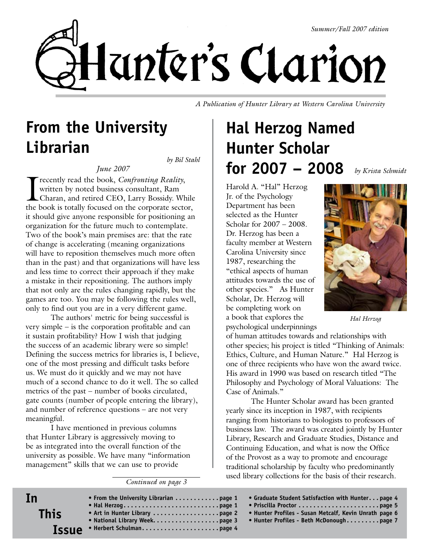

*A Publication of Hunter Library at Western Carolina University*

#### **From the University Librarian** *by Bil Stahl*

*June 2007*

I recently read the book, *Confronting Reality*, written by noted business consultant, Ram Charan, and retired CEO, Larry Bossidy. While the book is totally focused on the corporate sector, it should give anyone responsible for positioning an organization for the future much to contemplate. Two of the book's main premises are: that the rate of change is accelerating (meaning organizations will have to reposition themselves much more often than in the past) and that organizations will have less and less time to correct their approach if they make a mistake in their repositioning. The authors imply that not only are the rules changing rapidly, but the games are too. You may be following the rules well, only to find out you are in a very different game.

The authors' metric for being successful is very simple – is the corporation profitable and can it sustain profitability? How I wish that judging the success of an academic library were so simple! Defining the success metrics for libraries is, I believe, one of the most pressing and difficult tasks before us. We must do it quickly and we may not have much of a second chance to do it well. The so called metrics of the past – number of books circulated, gate counts (number of people entering the library), and number of reference questions – are not very meaningful.

I have mentioned in previous columns that Hunter Library is aggressively moving to be as integrated into the overall function of the university as possible. We have many "information management" skills that we can use to provide

*Continued on page 3*

# **Hal Herzog Named Hunter Scholar for 2007 – 2008**

*by Krista Schmidt*

Harold A. "Hal" Herzog Jr. of the Psychology Department has been selected as the Hunter Scholar for 2007 – 2008. Dr. Herzog has been a faculty member at Western Carolina University since 1987, researching the "ethical aspects of human attitudes towards the use of other species." As Hunter Scholar, Dr. Herzog will be completing work on a book that explores the psychological underpinnings

*Hal Herzog*

of human attitudes towards and relationships with other species; his project is titled "Thinking of Animals: Ethics, Culture, and Human Nature." Hal Herzog is one of three recipients who have won the award twice. His award in 1990 was based on research titled "The Philosophy and Psychology of Moral Valuations: The Case of Animals."

The Hunter Scholar award has been granted yearly since its inception in 1987, with recipients ranging from historians to biologists to professors of business law. The award was created jointly by Hunter Library, Research and Graduate Studies, Distance and Continuing Education, and what is now the Office of the Provost as a way to promote and encourage traditional scholarship by faculty who predominantly used library collections for the basis of their research.

- **Issue • From the University Librarian . . . . . . . . . . . page 1 • Hal Herzog . . . . . . . . . . . . . . . . . . . . . . . . . page 1 • Art in Hunter Library . . . . . . . . . . . . . . . . . page 2 • National Library Week . . . . . . . . . . . . . . . . . page 3 • Herbert Schulman . . . . . . . . . . . . . . . . . . . . page 4 • Graduate Student Satisfaction with Hunter . . page 4 • Priscilla Proctor . . . . . . . . . . . . . . . . . . . . . page 5 • Hunter Profiles - Susan Metcalf, Kevin Unrath page 6 • Hunter Profiles - Beth McDonough . . . . . . . . page 7**
- **In This**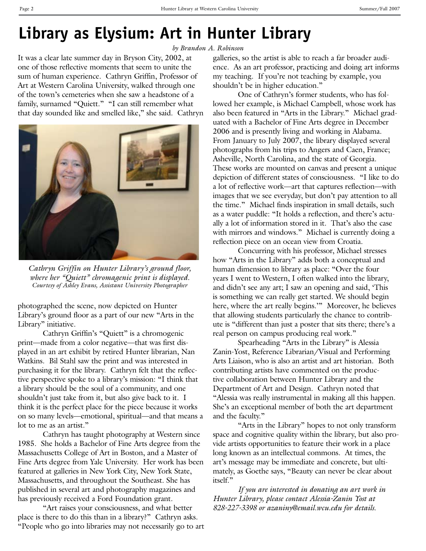### **Library as Elysium: Art in Hunter Library**

*by Brandon A. Robinson*

It was a clear late summer day in Bryson City, 2002, at one of those reflective moments that seem to unite the sum of human experience. Cathryn Griffin, Professor of Art at Western Carolina University, walked through one of the town's cemeteries when she saw a headstone of a family, surnamed "Quiett." "I can still remember what that day sounded like and smelled like," she said. Cathryn



*Cathryn Griffin on Hunter Library's ground floor, where her "Quiett" chromagenic print is displayed. Courtesy of Ashley Evans, Assistant University Photographer*

photographed the scene, now depicted on Hunter Library's ground floor as a part of our new "Arts in the Library" initiative.

Cathryn Griffin's "Quiett" is a chromogenic print—made from a color negative—that was first displayed in an art exhibit by retired Hunter librarian, Nan Watkins. Bil Stahl saw the print and was interested in purchasing it for the library. Cathryn felt that the reflective perspective spoke to a library's mission: "I think that a library should be the soul of a community, and one shouldn't just take from it, but also give back to it. I think it is the perfect place for the piece because it works on so many levels—emotional, spiritual—and that means a lot to me as an artist."

Cathryn has taught photography at Western since 1985. She holds a Bachelor of Fine Arts degree from the Massachusetts College of Art in Boston, and a Master of Fine Arts degree from Yale University. Her work has been featured at galleries in New York City, New York State, Massachusetts, and throughout the Southeast. She has published in several art and photography magazines and has previously received a Ford Foundation grant.

"Art raises your consciousness, and what better place is there to do this than in a library?" Cathryn asks. "People who go into libraries may not necessarily go to art galleries, so the artist is able to reach a far broader audience. As an art professor, practicing and doing art informs my teaching. If you're not teaching by example, you shouldn't be in higher education."

One of Cathryn's former students, who has followed her example, is Michael Campbell, whose work has also been featured in "Arts in the Library." Michael graduated with a Bachelor of Fine Arts degree in December 2006 and is presently living and working in Alabama. From January to July 2007, the library displayed several photographs from his trips to Angers and Caen, France; Asheville, North Carolina, and the state of Georgia. These works are mounted on canvas and present a unique depiction of different states of consciousness. "I like to do a lot of reflective work—art that captures reflection—with images that we see everyday, but don't pay attention to all the time." Michael finds inspiration in small details, such as a water puddle: "It holds a reflection, and there's actually a lot of information stored in it. That's also the case with mirrors and windows." Michael is currently doing a reflection piece on an ocean view from Croatia.

Concurring with his professor, Michael stresses how "Arts in the Library" adds both a conceptual and human dimension to library as place: "Over the four years I went to Western, I often walked into the library, and didn't see any art; I saw an opening and said, 'This is something we can really get started. We should begin here, where the art really begins."" Moreover, he believes that allowing students particularly the chance to contribute is "different than just a poster that sits there; there's a real person on campus producing real work."

Spearheading "Arts in the Library" is Alessia Zanin-Yost, Reference Librarian/Visual and Performing Arts Liaison, who is also an artist and art historian. Both contributing artists have commented on the productive collaboration between Hunter Library and the Department of Art and Design. Cathryn noted that "Alessia was really instrumental in making all this happen. She's an exceptional member of both the art department and the faculty."

"Arts in the Library" hopes to not only transform space and cognitive quality within the library, but also provide artists opportunities to feature their work in a place long known as an intellectual commons. At times, the art's message may be immediate and concrete, but ultimately, as Goethe says, "Beauty can never be clear about itself."

*If you are interested in donating an art work in Hunter Library, please contact Alessia-Zanin Yost at 828-227-3398 or azaniny@email.wcu.edu for details.*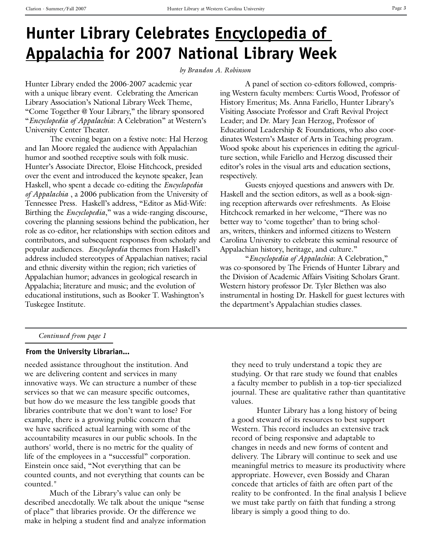## **Hunter Library Celebrates Encyclopedia of Appalachia for 2007 National Library Week**

*by Brandon A. Robinson*

Hunter Library ended the 2006-2007 academic year with a unique library event. Celebrating the American Library Association's National Library Week Theme, "Come Together @ Your Library," the library sponsored "*Encyclopedia of Appalachia*: A Celebration" at Western's University Center Theater.

The evening began on a festive note: Hal Herzog and Ian Moore regaled the audience with Appalachian humor and soothed receptive souls with folk music. Hunter's Associate Director, Eloise Hitchcock, presided over the event and introduced the keynote speaker, Jean Haskell, who spent a decade co-editing the *Encyclopedia of Appalachia* , a 2006 publication from the University of Tennessee Press. Haskell's address, "Editor as Mid-Wife: Birthing the *Encyclopedia*," was a wide-ranging discourse, covering the planning sessions behind the publication, her role as co-editor, her relationships with section editors and contributors, and subsequent responses from scholarly and popular audiences. *Encyclopedia* themes from Haskell's address included stereotypes of Appalachian natives; racial and ethnic diversity within the region; rich varieties of Appalachian humor; advances in geological research in Appalachia; literature and music; and the evolution of educational institutions, such as Booker T. Washington's Tuskegee Institute.

A panel of section co-editors followed, comprising Western faculty members: Curtis Wood, Professor of History Emeritus; Ms. Anna Fariello, Hunter Library's Visiting Associate Professor and Craft Revival Project Leader; and Dr. Mary Jean Herzog, Professor of Educational Leadership & Foundations, who also coordinates Western's Master of Arts in Teaching program. Wood spoke about his experiences in editing the agriculture section, while Fariello and Herzog discussed their editor's roles in the visual arts and education sections, respectively.

Guests enjoyed questions and answers with Dr. Haskell and the section editors, as well as a book-signing reception afterwards over refreshments. As Eloise Hitchcock remarked in her welcome, "There was no better way to 'come together' than to bring scholars, writers, thinkers and informed citizens to Western Carolina University to celebrate this seminal resource of Appalachian history, heritage, and culture."

"*Encyclopedia of Appalachia*: A Celebration," was co-sponsored by The Friends of Hunter Library and the Division of Academic Affairs Visiting Scholars Grant. Western history professor Dr. Tyler Blethen was also instrumental in hosting Dr. Haskell for guest lectures with the department's Appalachian studies classes.

#### *Continued from page 1*

#### **From the University Librarian...**

needed assistance throughout the institution. And we are delivering content and services in many innovative ways. We can structure a number of these services so that we can measure specific outcomes, but how do we measure the less tangible goods that libraries contribute that we don't want to lose? For example, there is a growing public concern that we have sacrificed actual learning with some of the accountability measures in our public schools. In the authors' world, there is no metric for the quality of life of the employees in a "successful" corporation. Einstein once said, "Not everything that can be counted counts, and not everything that counts can be counted."

Much of the Library's value can only be described anecdotally. We talk about the unique "sense of place" that libraries provide. Or the difference we make in helping a student find and analyze information they need to truly understand a topic they are studying. Or that rare study we found that enables a faculty member to publish in a top-tier specialized journal. These are qualitative rather than quantitative values.

Hunter Library has a long history of being a good steward of its resources to best support Western. This record includes an extensive track record of being responsive and adaptable to changes in needs and new forms of content and delivery. The Library will continue to seek and use meaningful metrics to measure its productivity where appropriate. However, even Bossidy and Charan concede that articles of faith are often part of the reality to be confronted. In the final analysis I believe we must take partly on faith that funding a strong library is simply a good thing to do.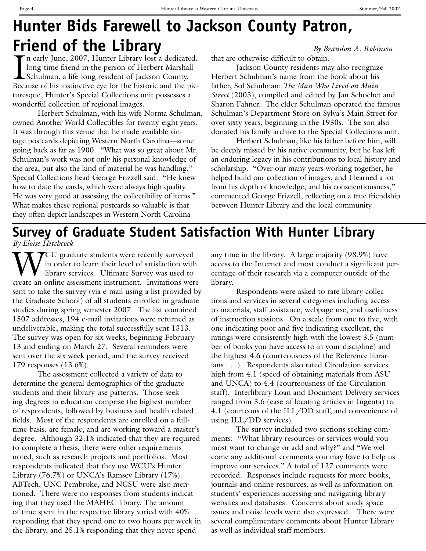## **Hunter Bids Farewell to Jackson County Patron, Friend of the Library** By Brandon A. Robinson

 $\prod_{\text{Rec}}$ n early June, 2007, Hunter Library lost a dedicated, long-time friend in the person of Herbert Marshall Schulman, a life-long resident of Jackson County. Because of his instinctive eye for the historic and the picturesque, Hunter's Special Collections unit possesses a wonderful collection of regional images.

Herbert Schulman, with his wife Norma Schulman, owned Another World Collectibles for twenty-eight years. It was through this venue that he made available vintage postcards depicting Western North Carolina—some going back as far as 1900. "What was so great about Mr. Schulman's work was not only his personal knowledge of the area, but also the kind of material he was handling," Special Collections head George Frizzell said. "He knew how to date the cards, which were always high quality. He was very good at assessing the collectibility of items." What makes these regional postcards so valuable is that they often depict landscapes in Western North Carolina

that are otherwise difficult to obtain.

Jackson County residents may also recognize Herbert Schulman's name from the book about his father, Sol Schulman: *The Man Who Lived on Main Street* (2003), compiled and edited by Jan Schochet and Sharon Fahner. The elder Schulman operated the famous Schulman's Department Store on Sylva's Main Street for over sixty years, beginning in the 1930s. The son also donated his family archive to the Special Collections unit.

Herbert Schulman, like his father before him, will be deeply missed by his native community, but he has left an enduring legacy in his contributions to local history and scholarship. "Over our many years working together, he helped build our collection of images, and I learned a lot from his depth of knowledge, and his conscientiousness," commented George Frizzell, reflecting on a true friendship between Hunter Library and the local community.

### **Survey of Graduate Student Satisfaction With Hunter Library**

*By Eloise Hitchcock*

 $\sqrt{\ }$ CU graduate students were recently surveyed in order to learn their level of satisfaction with library services. Ultimate Survey was used to create an online assessment instrument. Invitations were sent to take the survey (via e-mail using a list provided by the Graduate School) of all students enrolled in graduate studies during spring semester 2007. The list contained 1507 addresses, 194 e-mail invitations were returned as undeliverable, making the total successfully sent 1313. The survey was open for six weeks, beginning February 13 and ending on March 27. Several reminders were sent over the six week period, and the survey received 179 responses (13.6%).

The assessment collected a variety of data to determine the general demographics of the graduate students and their library use patterns. Those seeking degrees in education comprise the highest number of respondents, followed by business and health related fields. Most of the respondents are enrolled on a fulltime basis, are female, and are working toward a master's degree. Although 32.1% indicated that they are required to complete a thesis, there were other requirements noted, such as research projects and portfolios. Most respondents indicated that they use WCU's Hunter Library (76.7%) or UNCA's Ramsey Library (17%). ABTech, UNC Pembroke, and NCSU were also mentioned. There were no responses from students indicating that they used the MAHEC library. The amount of time spent in the respective library varied with 40% responding that they spend one to two hours per week in the library, and 25.1% responding that they never spend

any time in the library. A large majority (98.9%) have access to the Internet and most conduct a significant percentage of their research via a computer outside of the library.

Respondents were asked to rate library collections and services in several categories including access to materials, staff assistance, webpage use, and usefulness of instruction sessions. On a scale from one to five, with one indicating poor and five indicating excellent, the ratings were consistently high with the lowest 3.5 (number of books you have access to in your discipline) and the highest 4.6 (courteousness of the Reference librarians . . .). Respondents also rated Circulation services high from 4.1 (speed of obtaining materials from ASU and UNCA) to 4.4 (courteousness of the Circulation staff). Interlibrary Loan and Document Delivery services ranged from 3.6 (ease of locating articles in Ingenta) to 4.1 (courteous of the ILL/DD staff, and convenience of using ILL/DD services).

The survey included two sections seeking comments: "What library resources or services would you most want to change or add and why?" and "We welcome any additional comments you may have to help us improve our services." A total of 127 comments were recorded. Responses include requests for more books, journals and online resources, as well as information on students' experiences accessing and navigating library websites and databases. Concerns about study space issues and noise levels were also expressed. There were several complimentary comments about Hunter Library as well as individual staff members.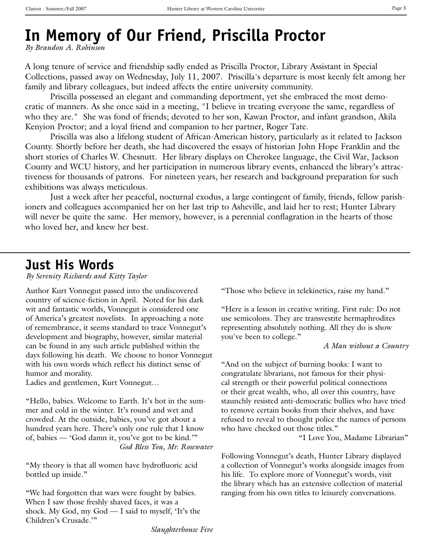## **In Memory of Our Friend, Priscilla Proctor**

*By Brandon A. Robinson*

A long tenure of service and friendship sadly ended as Priscilla Proctor, Library Assistant in Special Collections, passed away on Wednesday, July 11, 2007. Priscilla's departure is most keenly felt among her family and library colleagues, but indeed affects the entire university community.

Priscilla possessed an elegant and commanding deportment, yet she embraced the most democratic of manners. As she once said in a meeting, "I believe in treating everyone the same, regardless of who they are." She was fond of friends; devoted to her son, Kawan Proctor, and infant grandson, Akila Kenyion Proctor; and a loyal friend and companion to her partner, Roger Tate.

Priscilla was also a lifelong student of African-American history, particularly as it related to Jackson County. Shortly before her death, she had discovered the essays of historian John Hope Franklin and the short stories of Charles W. Chesnutt. Her library displays on Cherokee language, the Civil War, Jackson County and WCU history, and her participation in numerous library events, enhanced the library's attractiveness for thousands of patrons. For nineteen years, her research and background preparation for such exhibitions was always meticulous.

Just a week after her peaceful, nocturnal exodus, a large contingent of family, friends, fellow parishioners and colleagues accompanied her on her last trip to Asheville, and laid her to rest; Hunter Library will never be quite the same. Her memory, however, is a perennial conflagration in the hearts of those who loved her, and knew her best.

#### **Just His Words**

*By Serenity Richards and Kitty Taylor*

Author Kurt Vonnegut passed into the undiscovered country of science-fiction in April. Noted for his dark wit and fantastic worlds, Vonnegut is considered one of America's greatest novelists. In approaching a note of remembrance, it seems standard to trace Vonnegut's development and biography, however, similar material can be found in any such article published within the days following his death. We choose to honor Vonnegut with his own words which reflect his distinct sense of humor and morality.

Ladies and gentlemen, Kurt Vonnegut…

"Hello, babies. Welcome to Earth. It's hot in the summer and cold in the winter. It's round and wet and crowded. At the outside, babies, you've got about a hundred years here. There's only one rule that I know of, babies — 'God damn it, you've got to be kind.'" *God Bless You, Mr. Rosewater*

"My theory is that all women have hydrofluoric acid bottled up inside."

"We had forgotten that wars were fought by babies. When I saw those freshly shaved faces, it was a shock. My God, my God — I said to myself, 'It's the Children's Crusade.'"

"Those who believe in telekinetics, raise my hand."

"Here is a lesson in creative writing. First rule: Do not use semicolons. They are transvestite hermaphrodites representing absolutely nothing. All they do is show you've been to college."

*A Man without a Country*

"And on the subject of burning books: I want to congratulate librarians, not famous for their physical strength or their powerful political connections or their great wealth, who, all over this country, have staunchly resisted anti-democratic bullies who have tried to remove certain books from their shelves, and have refused to reveal to thought police the names of persons who have checked out those titles."

"I Love You, Madame Librarian"

Following Vonnegut's death, Hunter Library displayed a collection of Vonnegut's works alongside images from his life. To explore more of Vonnegut's words, visit the library which has an extensive collection of material ranging from his own titles to leisurely conversations.

*Slaughterhouse Five*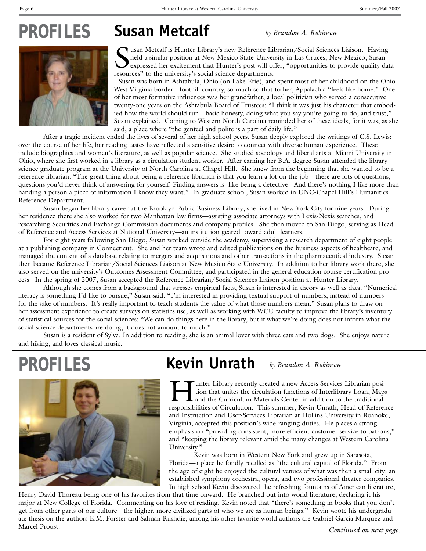# **Susan Metcalf** *PROFILES by Brandon A. Robinson*



Susan Metcalf is Hunter Library's new Reference Library's held a similar position at New Mexico State University's expressed her excitement that Hunter's post will of resources" to the university's social science departmen usan Metcalf is Hunter Library's new Reference Librarian/Social Sciences Liaison. Having held a similar position at New Mexico State University in Las Cruces, New Mexico, Susan expressed her excitement that Hunter's post will offer, "opportunities to provide quality data

Susan was born in Ashtabula, Ohio (on Lake Erie), and spent most of her childhood on the Ohio-West Virginia border—foothill country, so much so that to her, Appalachia "feels like home." One of her most formative influences was her grandfather, a local politician who served a consecutive twenty-one years on the Ashtabula Board of Trustees: "I think it was just his character that embodied how the world should run—basic honesty, doing what you say you're going to do, and trust," Susan explained. Coming to Western North Carolina reminded her of these ideals, for it was, as she said, a place where "the genteel and polite is a part of daily life."

After a tragic incident ended the lives of several of her high school peers, Susan deeply explored the writings of C.S. Lewis; over the course of her life, her reading tastes have reflected a sensitive desire to connect with diverse human experience. These include biographies and women's literature, as well as popular science. She studied sociology and liberal arts at Miami University in Ohio, where she first worked in a library as a circulation student worker. After earning her B.A. degree Susan attended the library science graduate program at the University of North Carolina at Chapel Hill. She knew from the beginning that she wanted to be a reference librarian: "The great thing about being a reference librarian is that you learn a lot on the job—there are lots of questions, questions you'd never think of answering for yourself. Finding answers is like being a detective. And there's nothing I like more than handing a person a piece of information I know they want." In graduate school, Susan worked in UNC-Chapel Hill's Humanities Reference Department.

Susan began her library career at the Brooklyn Public Business Library; she lived in New York City for nine years. During her residence there she also worked for two Manhattan law firms—assisting associate attorneys with Lexis-Nexis searches, and researching Securities and Exchange Commission documents and company profiles. She then moved to San Diego, serving as Head of Reference and Access Services at National University—an institution geared toward adult learners.

For eight years following San Diego, Susan worked outside the academy, supervising a research department of eight people at a publishing company in Connecticut. She and her team wrote and edited publications on the business aspects of healthcare, and managed the content of a database relating to mergers and acquisitions and other transactions in the pharmaceutical industry. Susan then became Reference Librarian/Social Sciences Liaison at New Mexico State University. In addition to her library work there, she also served on the university's Outcomes Assessment Committee, and participated in the general education course certification process. In the spring of 2007, Susan accepted the Reference Librarian/Social Sciences Liaison position at Hunter Library.

Although she comes from a background that stresses empirical facts, Susan is interested in theory as well as data. "Numerical literacy is something I'd like to pursue," Susan said. "I'm interested in providing textual support of numbers, instead of numbers for the sake of numbers. It's really important to teach students the value of what those numbers mean." Susan plans to draw on her assessment experience to create surveys on statistics use, as well as working with WCU faculty to improve the library's inventory of statistical sources for the social sciences: "We can do things here in the library, but if what we're doing does not inform what the social science departments are doing, it does not amount to much."

Susan is a resident of Sylva. In addition to reading, she is an animal lover with three cats and two dogs. She enjoys nature and hiking, and loves classical music.



## **Kevin Unrath** *PROFILES by Brandon A. Robinson*

Tunter Library recently created a new Access Services Librarian position that unites the circulation functions of Interlibrary Loan, Maps<br>and the Curriculum Materials Center in addition to the traditional<br>responsibilities tion that unites the circulation functions of Interlibrary Loan, Maps responsibilities of Circulation. This summer, Kevin Unrath, Head of Reference and Instruction and User-Services Librarian at Hollins University in Roanoke, Virginia, accepted this position's wide-ranging duties. He places a strong emphasis on "providing consistent, more efficient customer service to patrons," and "keeping the library relevant amid the many changes at Western Carolina University."

Kevin was born in Western New York and grew up in Sarasota, Florida—a place he fondly recalled as "the cultural capital of Florida." From the age of eight he enjoyed the cultural venues of what was then a small city: an established symphony orchestra, opera, and two professional theater companies. In high school Kevin discovered the refreshing fountains of American literature,

Henry David Thoreau being one of his favorites from that time onward. He branched out into world literature, declaring it his major at New College of Florida. Commenting on his love of reading, Kevin noted that "there's something in books that you don't get from other parts of our culture—the higher, more civilized parts of who we are as human beings." Kevin wrote his undergraduate thesis on the authors E.M. Forster and Salman Rushdie; among his other favorite world authors are Gabriel Garcia Marquez and Marcel Proust.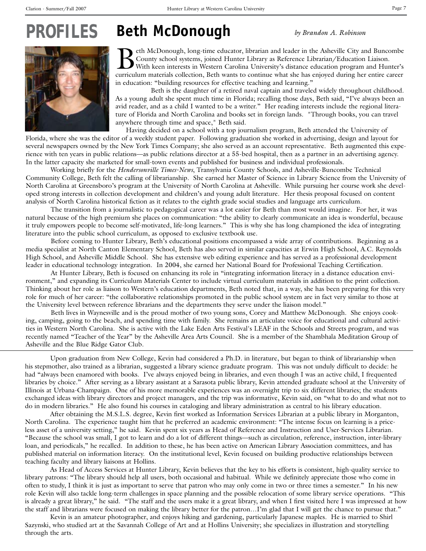#### **Beth McDonough** *PROFILES*

*by Brandon A. Robinson*



Beth McDonough, long-time educator, librarian and leader in the Asheville City and Buncombe<br>
County school systems, joined Hunter Library as Reference Librarian/Education Liaison.<br>
With keen interests in Western Carolina U County school systems, joined Hunter Library as Reference Librarian/Education Liaison. curriculum materials collection, Beth wants to continue what she has enjoyed during her entire career in education: "building resources for effective teaching and learning."

 Beth is the daughter of a retired naval captain and traveled widely throughout childhood. As a young adult she spent much time in Florida; recalling those days, Beth said, "I've always been an avid reader, and as a child I wanted to be a writer." Her reading interests include the regional literature of Florida and North Carolina and books set in foreign lands. "Through books, you can travel anywhere through time and space," Beth said.

Having decided on a school with a top journalism program, Beth attended the University of Florida, where she was the editor of a weekly student paper. Following graduation she worked in advertising, design and layout for several newspapers owned by the New York Times Company; she also served as an account representative. Beth augmented this experience with ten years in public relations—as public relations director at a 55-bed hospital, then as a partner in an advertising agency. In the latter capacity she marketed for small-town events and published for business and individual professionals.

Working briefly for the *Hendersonville Times-News*, Transylvania County Schools, and Asheville-Buncombe Technical Community College, Beth felt the calling of librarianship. She earned her Master of Science in Library Science from the University of North Carolina at Greensboro's program at the University of North Carolina at Asheville. While pursuing her course work she developed strong interests in collection development and children's and young adult literature. Her thesis proposal focused on content analysis of North Carolina historical fiction as it relates to the eighth grade social studies and language arts curriculum.

The transition from a journalistic to pedagogical career was a lot easier for Beth than most would imagine. For her, it was natural because of the high premium she places on communication: "the ability to clearly communicate an idea is wonderful, because it truly empowers people to become self-motivated, life-long learners." This is why she has long championed the idea of integrating literature into the public school curriculum, as opposed to exclusive textbook use.

Before coming to Hunter Library, Beth's educational positions encompassed a wide array of contributions. Beginning as a media specialist at North Canton Elementary School, Beth has also served in similar capacities at Erwin High School, A.C. Reynolds High School, and Asheville Middle School. She has extensive web editing experience and has served as a professional development leader in educational technology integration. In 2004, she earned her National Board for Professional Teaching Certification.

At Hunter Library, Beth is focused on enhancing its role in "integrating information literacy in a distance education environment," and expanding its Curriculum Materials Center to include virtual curriculum materials in addition to the print collection. Thinking about her role as liaison to Western's education departments, Beth noted that, in a way, she has been preparing for this very role for much of her career: "the collaborative relationships promoted in the public school system are in fact very similar to those at the University level between reference librarians and the departments they serve under the liaison model."

Beth lives in Waynesville and is the proud mother of two young sons, Corey and Matthew McDonough. She enjoys cooking, camping, going to the beach, and spending time with family. She remains an articulate voice for educational and cultural activities in Western North Carolina. She is active with the Lake Eden Arts Festival's LEAF in the Schools and Streets program, and was recently named "Teacher of the Year" by the Asheville Area Arts Council. She is a member of the Shambhala Meditation Group of Asheville and the Blue Ridge Gator Club.

Upon graduation from New College, Kevin had considered a Ph.D. in literature, but began to think of librarianship when his stepmother, also trained as a librarian, suggested a library science graduate program. This was not unduly difficult to decide: he had "always been enamored with books. I've always enjoyed being in libraries, and even though I was an active child, I frequented libraries by choice." After serving as a library assistant at a Sarasota public library, Kevin attended graduate school at the University of Illinois at Urbana-Champaign. One of his more memorable experiences was an overnight trip to six different libraries; the students exchanged ideas with library directors and project managers, and the trip was informative, Kevin said, on "what to do and what not to do in modern libraries." He also found his courses in cataloging and library administration as central to his library education.

After obtaining the M.S.L.S. degree, Kevin first worked as Information Services Librarian at a public library in Morganton, North Carolina. The experience taught him that he preferred an academic environment: "The intense focus on learning is a priceless asset of a university setting," he said. Kevin spent six years as Head of Reference and Instruction and User-Services Librarian. "Because the school was small, I got to learn and do a lot of different things—such as circulation, reference, instruction, inter-library loan, and periodicals," he recalled. In addition to these, he has been active on American Library Association committees, and has published material on information literacy. On the institutional level, Kevin focused on building productive relationships between teaching faculty and library liaisons at Hollins.

As Head of Access Services at Hunter Library, Kevin believes that the key to his efforts is consistent, high-quality service to library patrons: "The library should help all users, both occasional and habitual. While we definitely appreciate those who come in often to study, I think it is just as important to serve that patron who may only come in two or three times a semester." In his new role Kevin will also tackle long-term challenges in space planning and the possible relocation of some library service operations. "This is already a great library," he said. "The staff and the users make it a great library, and when I first visited here I was impressed at how the staff and librarians were focused on making the library better for the patron…I'm glad that I will get the chance to pursue that."

Kevin is an amateur photographer, and enjoys hiking and gardening, particularly Japanese maples. He is married to Shirl Sazynski, who studied art at the Savannah College of Art and at Hollins University; she specializes in illustration and storytelling through the arts.